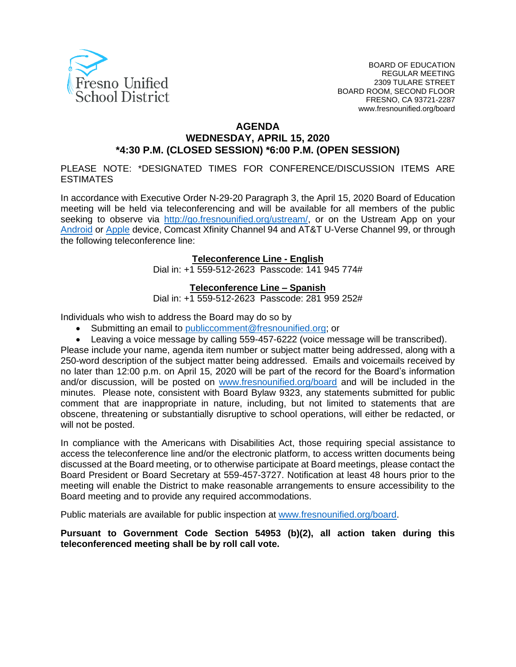

#### **AGENDA WEDNESDAY, APRIL 15, 2020 \*4:30 P.M. (CLOSED SESSION) \*6:00 P.M. (OPEN SESSION)**

PLEASE NOTE: \*DESIGNATED TIMES FOR CONFERENCE/DISCUSSION ITEMS ARE ESTIMATES

In accordance with Executive Order N-29-20 Paragraph 3, the April 15, 2020 Board of Education meeting will be held via teleconferencing and will be available for all members of the public seeking to observe via [http://go.fresnounified.org/ustream/,](http://go.fresnounified.org/ustream/) or on the Ustream App on your [Android](https://play.google.com/store/apps/details?id=tv.ustream.ustream&hl=en_US) or [Apple](https://itunes.apple.com/us/app/ustream/id301520250?mt=8) device, Comcast Xfinity Channel 94 and AT&T U-Verse Channel 99, or through the following teleconference line:

#### **Teleconference Line - English**

Dial in: +1 559-512-2623 Passcode: 141 945 774#

#### **Teleconference Line – Spanish**

Dial in: +1 559-512-2623 Passcode: 281 959 252#

Individuals who wish to address the Board may do so by

- Submitting an email to [publiccomment@fresnounified.org;](mailto:publiccomment@fresnounified.org) or
- Leaving a voice message by calling 559-457-6222 (voice message will be transcribed).

Please include your name, agenda item number or subject matter being addressed, along with a 250-word description of the subject matter being addressed. Emails and voicemails received by no later than 12:00 p.m. on April 15, 2020 will be part of the record for the Board's information and/or discussion, will be posted on [www.fresnounified.org/board](http://www.fresnounified.org/board) and will be included in the minutes. Please note, consistent with Board Bylaw 9323, any statements submitted for public comment that are inappropriate in nature, including, but not limited to statements that are obscene, threatening or substantially disruptive to school operations, will either be redacted, or will not be posted.

In compliance with the Americans with Disabilities Act, those requiring special assistance to access the teleconference line and/or the electronic platform, to access written documents being discussed at the Board meeting, or to otherwise participate at Board meetings, please contact the Board President or Board Secretary at 559-457-3727. Notification at least 48 hours prior to the meeting will enable the District to make reasonable arrangements to ensure accessibility to the Board meeting and to provide any required accommodations.

Public materials are available for public inspection at [www.fresnounified.org/board.](http://www.fresnounified.org/board)

**Pursuant to Government Code Section 54953 (b)(2), all action taken during this teleconferenced meeting shall be by roll call vote.**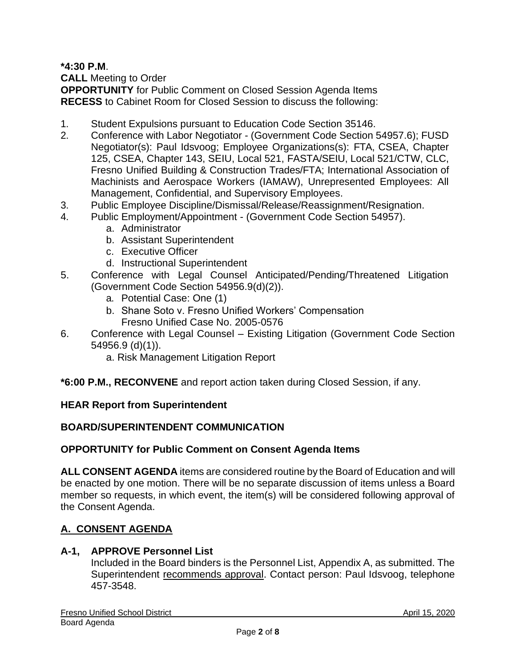**\*4:30 P.M**.

**CALL** Meeting to Order

**OPPORTUNITY** for Public Comment on Closed Session Agenda Items **RECESS** to Cabinet Room for Closed Session to discuss the following:

- 1. Student Expulsions pursuant to Education Code Section 35146.
- 2. Conference with Labor Negotiator (Government Code Section 54957.6); FUSD Negotiator(s): Paul Idsvoog; Employee Organizations(s): FTA, CSEA, Chapter 125, CSEA, Chapter 143, SEIU, Local 521, FASTA/SEIU, Local 521/CTW, CLC, Fresno Unified Building & Construction Trades/FTA; International Association of Machinists and Aerospace Workers (IAMAW), Unrepresented Employees: All Management, Confidential, and Supervisory Employees.
- 3. Public Employee Discipline/Dismissal/Release/Reassignment/Resignation.
- 4. Public Employment/Appointment (Government Code Section 54957).
	- a. Administrator
	- b. Assistant Superintendent
	- c. Executive Officer
	- d. Instructional Superintendent
- 5. Conference with Legal Counsel Anticipated/Pending/Threatened Litigation (Government Code Section 54956.9(d)(2)).
	- a. Potential Case: One (1)
	- b. Shane Soto v. Fresno Unified Workers' Compensation Fresno Unified Case No. 2005-0576
- 6. Conference with Legal Counsel Existing Litigation (Government Code Section 54956.9 (d)(1)).
	- a. Risk Management Litigation Report
- **\*6:00 P.M., RECONVENE** and report action taken during Closed Session, if any.

### **HEAR Report from Superintendent**

# **BOARD/SUPERINTENDENT COMMUNICATION**

### **OPPORTUNITY for Public Comment on Consent Agenda Items**

**ALL CONSENT AGENDA** items are considered routine by the Board of Education and will be enacted by one motion. There will be no separate discussion of items unless a Board member so requests, in which event, the item(s) will be considered following approval of the Consent Agenda.

### **A. CONSENT AGENDA**

### **A-1, APPROVE Personnel List**

Included in the Board binders is the Personnel List, Appendix A, as submitted. The Superintendent recommends approval. Contact person: Paul Idsvoog, telephone 457-3548.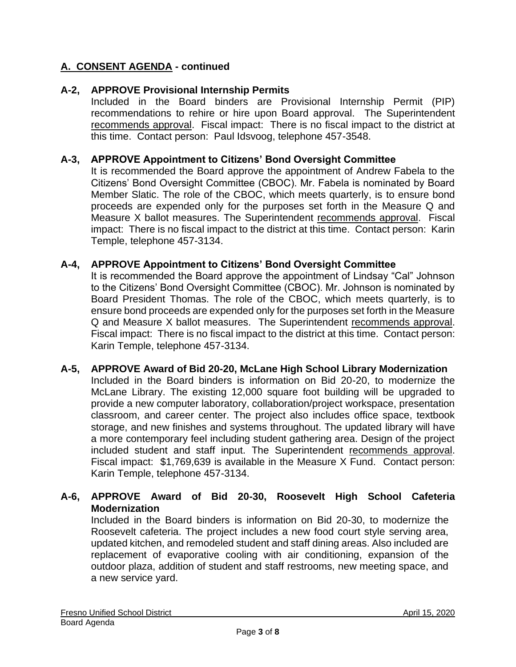# **A. CONSENT AGENDA - continued**

### **A-2, APPROVE Provisional Internship Permits**

Included in the Board binders are Provisional Internship Permit (PIP) recommendations to rehire or hire upon Board approval. The Superintendent recommends approval. Fiscal impact: There is no fiscal impact to the district at this time. Contact person: Paul Idsvoog, telephone 457-3548.

#### **A-3, APPROVE Appointment to Citizens' Bond Oversight Committee**

It is recommended the Board approve the appointment of Andrew Fabela to the Citizens' Bond Oversight Committee (CBOC). Mr. Fabela is nominated by Board Member Slatic. The role of the CBOC, which meets quarterly, is to ensure bond proceeds are expended only for the purposes set forth in the Measure Q and Measure X ballot measures. The Superintendent recommends approval. Fiscal impact: There is no fiscal impact to the district at this time. Contact person: Karin Temple, telephone 457-3134.

#### **A-4, APPROVE Appointment to Citizens' Bond Oversight Committee**

It is recommended the Board approve the appointment of Lindsay "Cal" Johnson to the Citizens' Bond Oversight Committee (CBOC). Mr. Johnson is nominated by Board President Thomas. The role of the CBOC, which meets quarterly, is to ensure bond proceeds are expended only for the purposes set forth in the Measure Q and Measure X ballot measures. The Superintendent recommends approval. Fiscal impact: There is no fiscal impact to the district at this time. Contact person: Karin Temple, telephone 457-3134.

#### **A-5, APPROVE Award of Bid 20-20, McLane High School Library Modernization** Included in the Board binders is information on Bid 20-20, to modernize the McLane Library. The existing 12,000 square foot building will be upgraded to provide a new computer laboratory, collaboration/project workspace, presentation classroom, and career center. The project also includes office space, textbook storage, and new finishes and systems throughout. The updated library will have a more contemporary feel including student gathering area. Design of the project included student and staff input. The Superintendent recommends approval. Fiscal impact: \$1,769,639 is available in the Measure X Fund. Contact person: Karin Temple, telephone 457-3134.

### **A-6, APPROVE Award of Bid 20-30, Roosevelt High School Cafeteria Modernization**

Included in the Board binders is information on Bid 20-30, to modernize the Roosevelt cafeteria. The project includes a new food court style serving area, updated kitchen, and remodeled student and staff dining areas. Also included are replacement of evaporative cooling with air conditioning, expansion of the outdoor plaza, addition of student and staff restrooms, new meeting space, and a new service yard.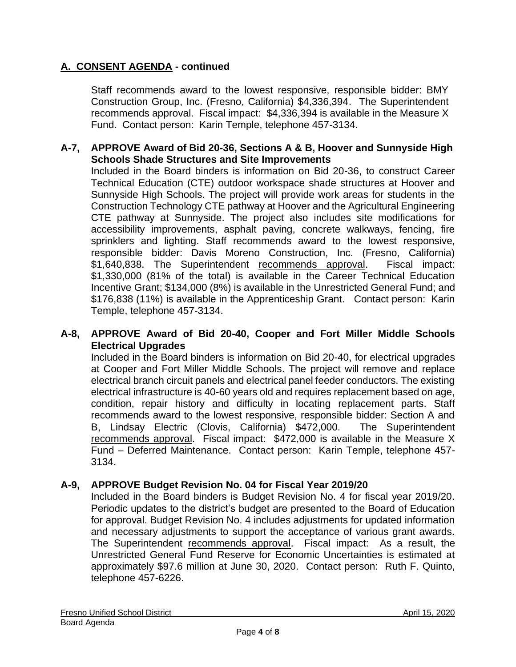# **A. CONSENT AGENDA - continued**

Staff recommends award to the lowest responsive, responsible bidder: BMY Construction Group, Inc. (Fresno, California) \$4,336,394. The Superintendent recommends approval. Fiscal impact: \$4,336,394 is available in the Measure X Fund. Contact person: Karin Temple, telephone 457-3134.

#### **A-7, APPROVE Award of Bid 20-36, Sections A & B, Hoover and Sunnyside High Schools Shade Structures and Site Improvements**

Included in the Board binders is information on Bid 20-36, to construct Career Technical Education (CTE) outdoor workspace shade structures at Hoover and Sunnyside High Schools. The project will provide work areas for students in the Construction Technology CTE pathway at Hoover and the Agricultural Engineering CTE pathway at Sunnyside. The project also includes site modifications for accessibility improvements, asphalt paving, concrete walkways, fencing, fire sprinklers and lighting. Staff recommends award to the lowest responsive, responsible bidder: Davis Moreno Construction, Inc. (Fresno, California) \$1,640,838. The Superintendent recommends approval. Fiscal impact: \$1,330,000 (81% of the total) is available in the Career Technical Education Incentive Grant; \$134,000 (8%) is available in the Unrestricted General Fund; and \$176,838 (11%) is available in the Apprenticeship Grant. Contact person: Karin Temple, telephone 457-3134.

#### **A-8, APPROVE Award of Bid 20-40, Cooper and Fort Miller Middle Schools Electrical Upgrades**

Included in the Board binders is information on Bid 20-40, for electrical upgrades at Cooper and Fort Miller Middle Schools. The project will remove and replace electrical branch circuit panels and electrical panel feeder conductors. The existing electrical infrastructure is 40-60 years old and requires replacement based on age, condition, repair history and difficulty in locating replacement parts. Staff recommends award to the lowest responsive, responsible bidder: Section A and B, Lindsay Electric (Clovis, California) \$472,000. The Superintendent recommends approval. Fiscal impact: \$472,000 is available in the Measure X Fund – Deferred Maintenance. Contact person: Karin Temple, telephone 457- 3134.

#### **A-9, APPROVE Budget Revision No. 04 for Fiscal Year 2019/20**

Included in the Board binders is Budget Revision No. 4 for fiscal year 2019/20. Periodic updates to the district's budget are presented to the Board of Education for approval. Budget Revision No. 4 includes adjustments for updated information and necessary adjustments to support the acceptance of various grant awards. The Superintendent recommends approval. Fiscal impact: As a result, the Unrestricted General Fund Reserve for Economic Uncertainties is estimated at approximately \$97.6 million at June 30, 2020. Contact person: Ruth F. Quinto, telephone 457-6226.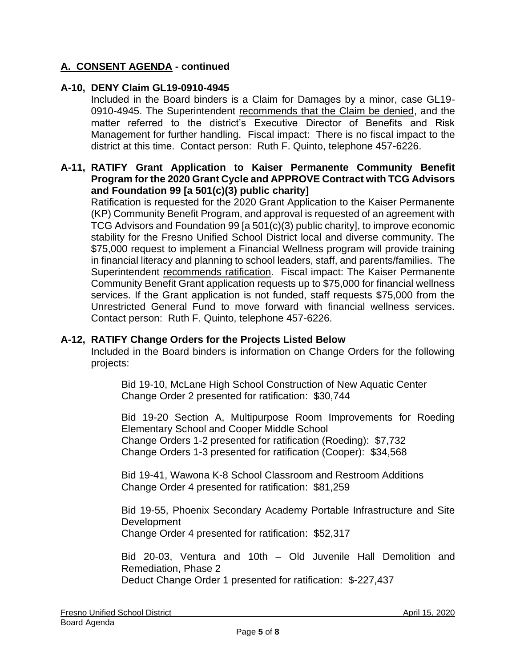## **A. CONSENT AGENDA - continued**

### **A-10, DENY Claim GL19-0910-4945**

Included in the Board binders is a Claim for Damages by a minor, case GL19- 0910-4945. The Superintendent recommends that the Claim be denied, and the matter referred to the district's Executive Director of Benefits and Risk Management for further handling. Fiscal impact: There is no fiscal impact to the district at this time. Contact person: Ruth F. Quinto, telephone 457-6226.

#### **A-11, RATIFY Grant Application to Kaiser Permanente Community Benefit Program for the 2020 Grant Cycle and APPROVE Contract with TCG Advisors and Foundation 99 [a 501(c)(3) public charity]**

Ratification is requested for the 2020 Grant Application to the Kaiser Permanente (KP) Community Benefit Program, and approval is requested of an agreement with TCG Advisors and Foundation 99 [a 501(c)(3) public charity], to improve economic stability for the Fresno Unified School District local and diverse community. The \$75,000 request to implement a Financial Wellness program will provide training in financial literacy and planning to school leaders, staff, and parents/families. The Superintendent recommends ratification. Fiscal impact: The Kaiser Permanente Community Benefit Grant application requests up to \$75,000 for financial wellness services. If the Grant application is not funded, staff requests \$75,000 from the Unrestricted General Fund to move forward with financial wellness services. Contact person: Ruth F. Quinto, telephone 457-6226.

#### **A-12, RATIFY Change Orders for the Projects Listed Below**

Included in the Board binders is information on Change Orders for the following projects:

Bid 19-10, McLane High School Construction of New Aquatic Center Change Order 2 presented for ratification: \$30,744

Bid 19-20 Section A, Multipurpose Room Improvements for Roeding Elementary School and Cooper Middle School Change Orders 1-2 presented for ratification (Roeding): \$7,732 Change Orders 1-3 presented for ratification (Cooper): \$34,568

Bid 19-41, Wawona K-8 School Classroom and Restroom Additions Change Order 4 presented for ratification: \$81,259

Bid 19-55, Phoenix Secondary Academy Portable Infrastructure and Site Development Change Order 4 presented for ratification: \$52,317

Bid 20-03, Ventura and 10th – Old Juvenile Hall Demolition and Remediation, Phase 2 Deduct Change Order 1 presented for ratification: \$-227,437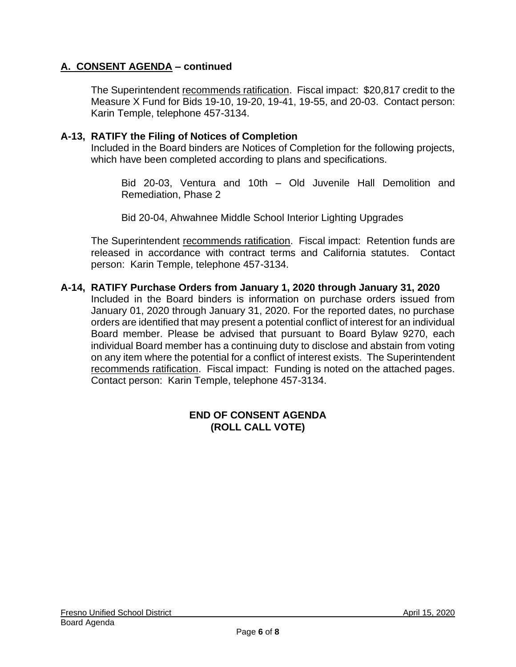## **A. CONSENT AGENDA – continued**

The Superintendent recommends ratification. Fiscal impact: \$20,817 credit to the Measure X Fund for Bids 19-10, 19-20, 19-41, 19-55, and 20-03. Contact person: Karin Temple, telephone 457-3134.

#### **A-13, RATIFY the Filing of Notices of Completion**

Included in the Board binders are Notices of Completion for the following projects, which have been completed according to plans and specifications.

Bid 20-03, Ventura and 10th – Old Juvenile Hall Demolition and Remediation, Phase 2

Bid 20-04, Ahwahnee Middle School Interior Lighting Upgrades

The Superintendent recommends ratification. Fiscal impact: Retention funds are released in accordance with contract terms and California statutes. Contact person: Karin Temple, telephone 457-3134.

**A-14, RATIFY Purchase Orders from January 1, 2020 through January 31, 2020** Included in the Board binders is information on purchase orders issued from January 01, 2020 through January 31, 2020. For the reported dates, no purchase orders are identified that may present a potential conflict of interest for an individual Board member. Please be advised that pursuant to Board Bylaw 9270, each individual Board member has a continuing duty to disclose and abstain from voting on any item where the potential for a conflict of interest exists. The Superintendent recommends ratification. Fiscal impact: Funding is noted on the attached pages. Contact person: Karin Temple, telephone 457-3134.

### **END OF CONSENT AGENDA (ROLL CALL VOTE)**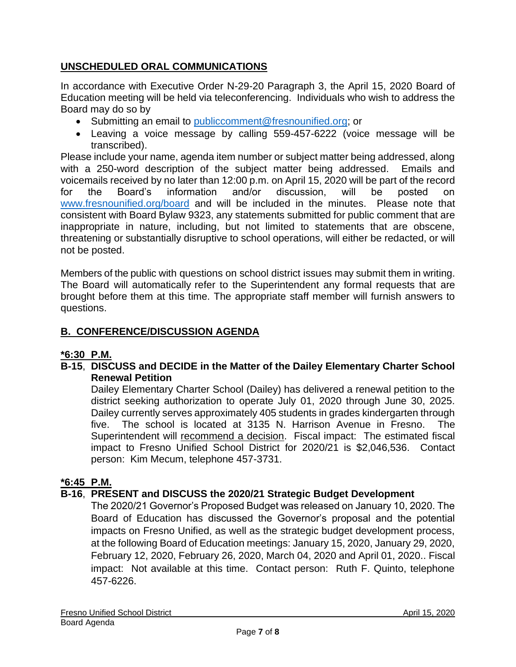# **UNSCHEDULED ORAL COMMUNICATIONS**

In accordance with Executive Order N-29-20 Paragraph 3, the April 15, 2020 Board of Education meeting will be held via teleconferencing. Individuals who wish to address the Board may do so by

- Submitting an email to [publiccomment@fresnounified.org;](mailto:publiccomment@fresnounified.org) or
- Leaving a voice message by calling 559-457-6222 (voice message will be transcribed).

Please include your name, agenda item number or subject matter being addressed, along with a 250-word description of the subject matter being addressed. Emails and voicemails received by no later than 12:00 p.m. on April 15, 2020 will be part of the record for the Board's information and/or discussion, will be posted on [www.fresnounified.org/board](http://www.fresnounified.org/board) and will be included in the minutes. Please note that consistent with Board Bylaw 9323, any statements submitted for public comment that are inappropriate in nature, including, but not limited to statements that are obscene, threatening or substantially disruptive to school operations, will either be redacted, or will not be posted.

Members of the public with questions on school district issues may submit them in writing. The Board will automatically refer to the Superintendent any formal requests that are brought before them at this time. The appropriate staff member will furnish answers to questions.

# **B. CONFERENCE/DISCUSSION AGENDA**

# **\*6:30 P.M.**

**B-15**, **DISCUSS and DECIDE in the Matter of the Dailey Elementary Charter School Renewal Petition**

Dailey Elementary Charter School (Dailey) has delivered a renewal petition to the district seeking authorization to operate July 01, 2020 through June 30, 2025. Dailey currently serves approximately 405 students in grades kindergarten through five. The school is located at 3135 N. Harrison Avenue in Fresno. The Superintendent will recommend a decision. Fiscal impact: The estimated fiscal impact to Fresno Unified School District for 2020/21 is \$2,046,536. Contact person: Kim Mecum, telephone 457-3731.

# **\*6:45 P.M.**

# **B-16**, **PRESENT and DISCUSS the 2020/21 Strategic Budget Development**

The 2020/21 Governor's Proposed Budget was released on January 10, 2020. The Board of Education has discussed the Governor's proposal and the potential impacts on Fresno Unified, as well as the strategic budget development process, at the following Board of Education meetings: January 15, 2020, January 29, 2020, February 12, 2020, February 26, 2020, March 04, 2020 and April 01, 2020.. Fiscal impact: Not available at this time. Contact person: Ruth F. Quinto, telephone 457-6226.